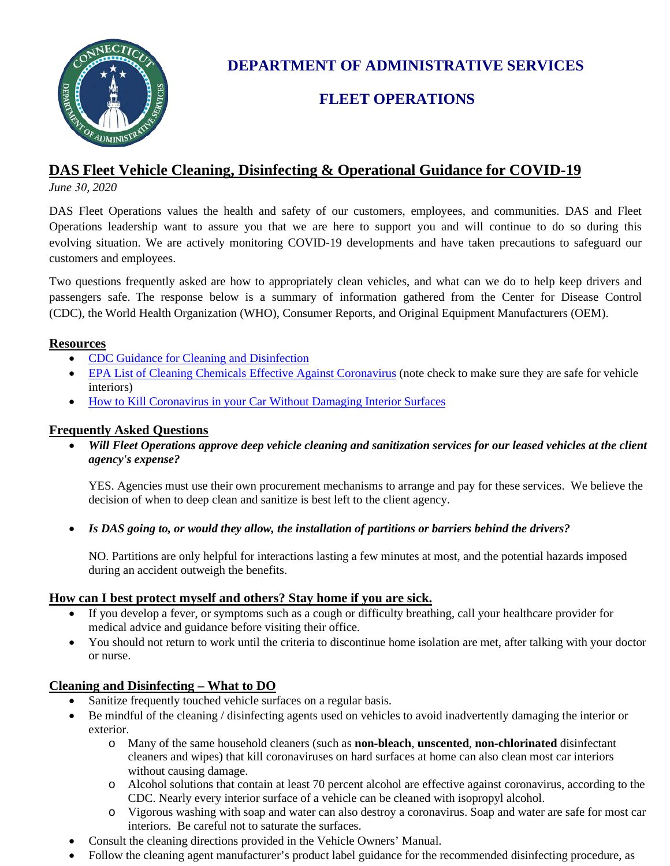

**DEPARTMENT OF ADMINISTRATIVE SERVICES** 

# **FLEET OPERATIONS**

## **DAS Fleet Vehicle Cleaning, Disinfecting & Operational Guidance for COVID-19**

*June 30, 2020*

DAS Fleet Operations values the health and safety of our customers, employees, and communities. DAS and Fleet Operations leadership want to assure you that we are here to support you and will continue to do so during this evolving situation. We are actively monitoring COVID-19 developments and have taken precautions to safeguard our customers and employees.

Two questions frequently asked are how to appropriately clean vehicles, and what can we do to help keep drivers and passengers safe. The response below is a summary of information gathered from the Center for Disease Control (CDC), the World Health Organization (WHO), Consumer Reports, and Original Equipment Manufacturers (OEM).

#### **Resources**

- [CDC Guidance for Cleaning and Disinfection](https://www.cdc.gov/coronavirus/2019-ncov/community/organizations/cleaning-disinfection.html)
- [EPA List of Cleaning Chemicals Effective Against Coronavirus](https://www.epa.gov/pesticide-registration/list-n-disinfectants-use-against-sars-cov-2-covid-19) (note check to make sure they are safe for vehicle interiors)
- [How to Kill Coronavirus in your Car Without Damaging Interior Surfaces](https://www.consumerreports.org/tires-car-care/how-to-kill-coronavirus-in-your-car-without-damaging-interior-surfaces/)

#### **Frequently Asked Questions**

• *Will Fleet Operations approve deep vehicle cleaning and sanitization services for our leased vehicles at the client agency's expense?*

YES. Agencies must use their own procurement mechanisms to arrange and pay for these services. We believe the decision of when to deep clean and sanitize is best left to the client agency.

• *Is DAS going to, or would they allow, the installation of partitions or barriers behind the drivers?*

NO. Partitions are only helpful for interactions lasting a few minutes at most, and the potential hazards imposed during an accident outweigh the benefits.

## **How can I best protect myself and others? Stay home if you are sick.**

- If you develop a fever, or symptoms such as a cough or difficulty breathing, call your healthcare provider for medical advice and guidance before visiting their office.
- You should not return to work until the criteria to discontinue home isolation are met, after talking with your doctor or nurse.

## **Cleaning and Disinfecting – What to DO**

- Sanitize frequently touched vehicle surfaces on a regular basis.
- Be mindful of the cleaning / disinfecting agents used on vehicles to avoid inadvertently damaging the interior or exterior.
	- o Many of the same household cleaners (such as **non-bleach**, **unscented**, **non-chlorinated** disinfectant cleaners and wipes) that kill coronaviruses on hard surfaces at home can also clean most car interiors without causing damage.
	- o Alcohol solutions that contain at least 70 percent alcohol are effective against coronavirus, according to the CDC. Nearly every interior surface of a vehicle can be cleaned with isopropyl alcohol.
	- o Vigorous washing with soap and water can also destroy a coronavirus. Soap and water are safe for most car interiors. Be careful not to saturate the surfaces.
- Consult the cleaning directions provided in the Vehicle Owners' Manual.
- Follow the cleaning agent manufacturer's product label guidance for the recommended disinfecting procedure, as